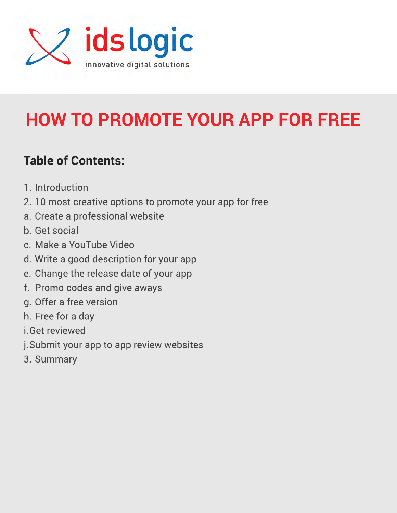

# **HOW TO PROMOTE YOUR APP FOR FREE**

### **Table of Contents:**

- 1. Introduction
- 2. 10 most creative options to promote your app for free
- a. Create a professional website
- b. Get social
- c. Make a YouTube Video
- d. Write a good description for your app
- e. Change the release date of your app
- f. Promo codes and give aways
- g. Offer a free version
- h. Free for a day
- i. Get reviewed
- j. Submit your app to app review websites
- 3. Summary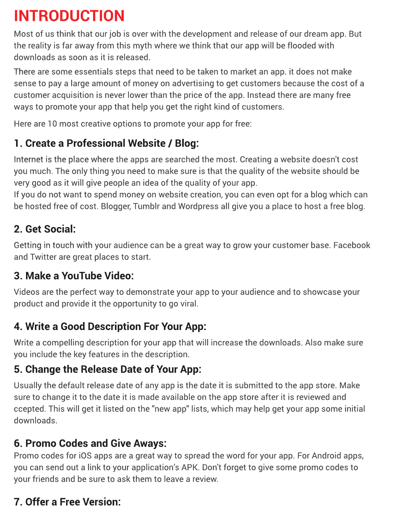# **INTRODUCTION**

Most of us think that our job is over with the development and release of our dream app. But the reality is far away from this myth where we think that our app will be flooded with downloads as soon as it is released.

There are some essentials steps that need to be taken to market an app. it does not make sense to pay a large amount of money on advertising to get customers because the cost of a customer acquisition is never lower than the price of the app. Instead there are many free ways to promote your app that help you get the right kind of customers.

Here are 10 most creative options to promote your app for free:

#### **1. Create a Professional Website / Blog:**

Internet is the place where the apps are searched the most. Creating a website doesn't cost you much. The only thing you need to make sure is that the quality of the website should be very good as it will give people an idea of the quality of your app.

If you do not want to spend money on website creation, you can even opt for a blog which can be hosted free of cost. Blogger, Tumblr and Wordpress all give you a place to host a free blog.

#### **2. Get Social:**

Getting in touch with your audience can be a great way to grow your customer base. Facebook and Twitter are great places to start.

#### **3. Make a YouTube Video:**

Videos are the perfect way to demonstrate your app to your audience and to showcase your product and provide it the opportunity to go viral.

#### **4. Write a Good Description For Your App:**

Write a compelling description for your app that will increase the downloads. Also make sure you include the key features in the description.

#### **5. Change the Release Date of Your App:**

Usually the default release date of any app is the date it is submitted to the app store. Make sure to change it to the date it is made available on the app store after it is reviewed and ccepted. This will get it listed on the "new app" lists, which may help get your app some initial downloads.

#### **6. Promo Codes and Give Aways:**

Promo codes for iOS apps are a great way to spread the word for your app. For Android apps, you can send out a link to your application's APK. Don't forget to give some promo codes to your friends and be sure to ask them to leave a review.

#### **7. Offer a Free Version:**